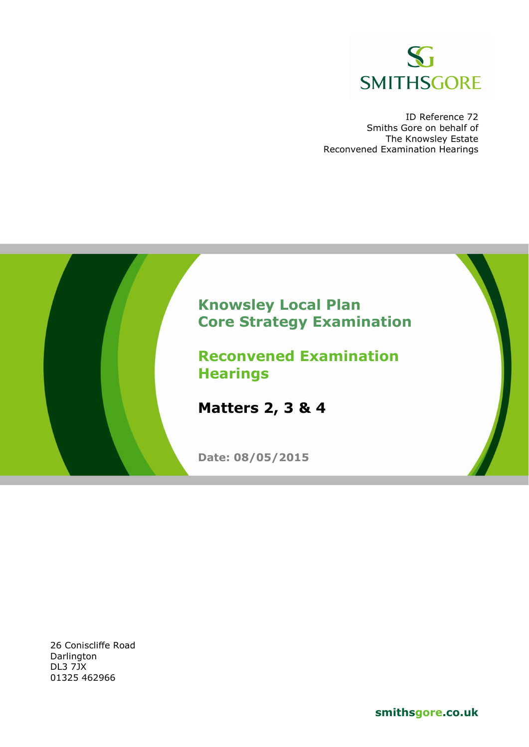

ID Reference 72 Smiths Gore on behalf of The Knowsley Estate Reconvened Examination Hearings



26 Coniscliffe Road **Darlington** DL3 7JX 01325 462966

**smithsgore.co.uk**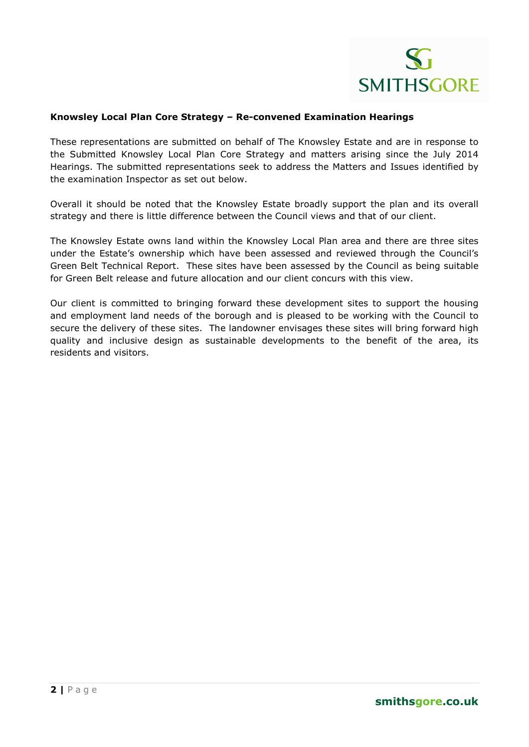#### **Knowsley Local Plan Core Strategy – Re-convened Examination Hearings**

These representations are submitted on behalf of The Knowsley Estate and are in response to the Submitted Knowsley Local Plan Core Strategy and matters arising since the July 2014 Hearings. The submitted representations seek to address the Matters and Issues identified by the examination Inspector as set out below.

Overall it should be noted that the Knowsley Estate broadly support the plan and its overall strategy and there is little difference between the Council views and that of our client.

The Knowsley Estate owns land within the Knowsley Local Plan area and there are three sites under the Estate's ownership which have been assessed and reviewed through the Council's Green Belt Technical Report. These sites have been assessed by the Council as being suitable for Green Belt release and future allocation and our client concurs with this view.

Our client is committed to bringing forward these development sites to support the housing and employment land needs of the borough and is pleased to be working with the Council to secure the delivery of these sites. The landowner envisages these sites will bring forward high quality and inclusive design as sustainable developments to the benefit of the area, its residents and visitors.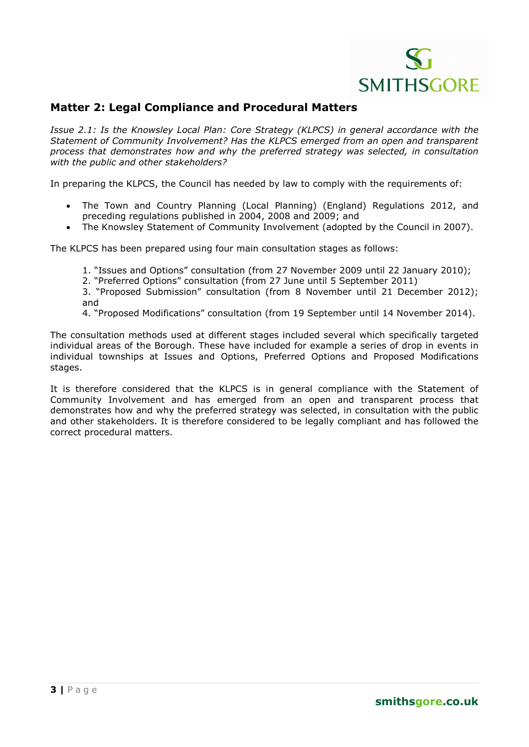

### **Matter 2: Legal Compliance and Procedural Matters**

*Issue 2.1: Is the Knowsley Local Plan: Core Strategy (KLPCS) in general accordance with the Statement of Community Involvement? Has the KLPCS emerged from an open and transparent process that demonstrates how and why the preferred strategy was selected, in consultation with the public and other stakeholders?* 

In preparing the KLPCS, the Council has needed by law to comply with the requirements of:

- The Town and Country Planning (Local Planning) (England) Regulations 2012, and preceding regulations published in 2004, 2008 and 2009; and
- The Knowsley Statement of Community Involvement (adopted by the Council in 2007).

The KLPCS has been prepared using four main consultation stages as follows:

- 1. "Issues and Options" consultation (from 27 November 2009 until 22 January 2010);
- 2. "Preferred Options" consultation (from 27 June until 5 September 2011)

3. "Proposed Submission" consultation (from 8 November until 21 December 2012); and

4. "Proposed Modifications" consultation (from 19 September until 14 November 2014).

The consultation methods used at different stages included several which specifically targeted individual areas of the Borough. These have included for example a series of drop in events in individual townships at Issues and Options, Preferred Options and Proposed Modifications stages.

It is therefore considered that the KLPCS is in general compliance with the Statement of Community Involvement and has emerged from an open and transparent process that demonstrates how and why the preferred strategy was selected, in consultation with the public and other stakeholders. It is therefore considered to be legally compliant and has followed the correct procedural matters.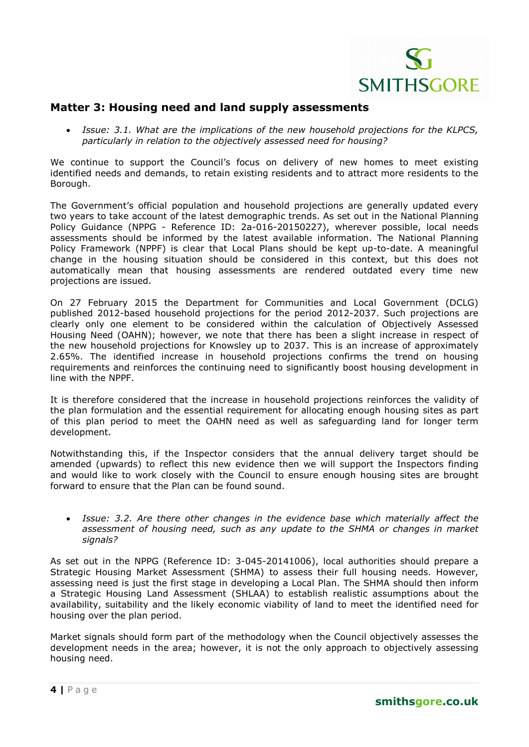

#### **Matter 3: Housing need and land supply assessments**

• *Issue: 3.1. What are the implications of the new household projections for the KLPCS, particularly in relation to the objectively assessed need for housing?* 

We continue to support the Council's focus on delivery of new homes to meet existing identified needs and demands, to retain existing residents and to attract more residents to the Borough.

The Government's official population and household projections are generally updated every two years to take account of the latest demographic trends. As set out in the National Planning Policy Guidance (NPPG - Reference ID: 2a-016-20150227), wherever possible, local needs assessments should be informed by the latest available information. The National Planning Policy Framework (NPPF) is clear that Local Plans should be kept up-to-date. A meaningful change in the housing situation should be considered in this context, but this does not automatically mean that housing assessments are rendered outdated every time new projections are issued.

On 27 February 2015 the Department for Communities and Local Government (DCLG) published 2012-based household projections for the period 2012-2037. Such projections are clearly only one element to be considered within the calculation of Objectively Assessed Housing Need (OAHN); however, we note that there has been a slight increase in respect of the new household projections for Knowsley up to 2037. This is an increase of approximately 2.65%. The identified increase in household projections confirms the trend on housing requirements and reinforces the continuing need to significantly boost housing development in line with the NPPF.

It is therefore considered that the increase in household projections reinforces the validity of the plan formulation and the essential requirement for allocating enough housing sites as part of this plan period to meet the OAHN need as well as safeguarding land for longer term development.

Notwithstanding this, if the Inspector considers that the annual delivery target should be amended (upwards) to reflect this new evidence then we will support the Inspectors finding and would like to work closely with the Council to ensure enough housing sites are brought forward to ensure that the Plan can be found sound.

• *Issue: 3.2. Are there other changes in the evidence base which materially affect the assessment of housing need, such as any update to the SHMA or changes in market signals?* 

As set out in the NPPG (Reference ID: 3-045-20141006), local authorities should prepare a Strategic Housing Market Assessment (SHMA) to assess their full housing needs. However, assessing need is just the first stage in developing a Local Plan. The SHMA should then inform a Strategic Housing Land Assessment (SHLAA) to establish realistic assumptions about the availability, suitability and the likely economic viability of land to meet the identified need for housing over the plan period.

Market signals should form part of the methodology when the Council objectively assesses the development needs in the area; however, it is not the only approach to objectively assessing housing need.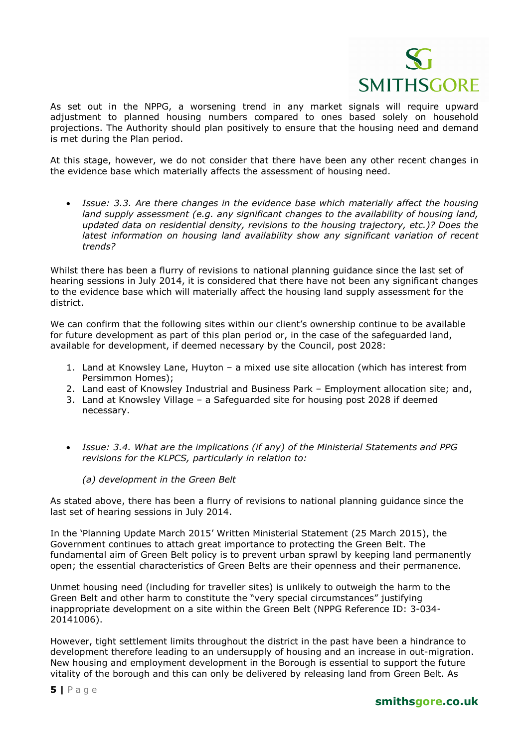

As set out in the NPPG, a worsening trend in any market signals will require upward adjustment to planned housing numbers compared to ones based solely on household projections. The Authority should plan positively to ensure that the housing need and demand is met during the Plan period.

At this stage, however, we do not consider that there have been any other recent changes in the evidence base which materially affects the assessment of housing need.

• *Issue: 3.3. Are there changes in the evidence base which materially affect the housing land supply assessment (e.g. any significant changes to the availability of housing land, updated data on residential density, revisions to the housing trajectory, etc.)? Does the latest information on housing land availability show any significant variation of recent trends?*

Whilst there has been a flurry of revisions to national planning guidance since the last set of hearing sessions in July 2014, it is considered that there have not been any significant changes to the evidence base which will materially affect the housing land supply assessment for the district.

We can confirm that the following sites within our client's ownership continue to be available for future development as part of this plan period or, in the case of the safeguarded land, available for development, if deemed necessary by the Council, post 2028:

- 1. Land at Knowsley Lane, Huyton a mixed use site allocation (which has interest from Persimmon Homes);
- 2. Land east of Knowsley Industrial and Business Park Employment allocation site; and,
- 3. Land at Knowsley Village a Safeguarded site for housing post 2028 if deemed necessary.
- *Issue: 3.4. What are the implications (if any) of the Ministerial Statements and PPG revisions for the KLPCS, particularly in relation to:*

#### *(a) development in the Green Belt*

As stated above, there has been a flurry of revisions to national planning guidance since the last set of hearing sessions in July 2014.

In the 'Planning Update March 2015' Written Ministerial Statement (25 March 2015), the Government continues to attach great importance to protecting the Green Belt. The fundamental aim of Green Belt policy is to prevent urban sprawl by keeping land permanently open; the essential characteristics of Green Belts are their openness and their permanence.

Unmet housing need (including for traveller sites) is unlikely to outweigh the harm to the Green Belt and other harm to constitute the "very special circumstances" justifying inappropriate development on a site within the Green Belt (NPPG Reference ID: 3-034- 20141006).

However, tight settlement limits throughout the district in the past have been a hindrance to development therefore leading to an undersupply of housing and an increase in out-migration. New housing and employment development in the Borough is essential to support the future vitality of the borough and this can only be delivered by releasing land from Green Belt. As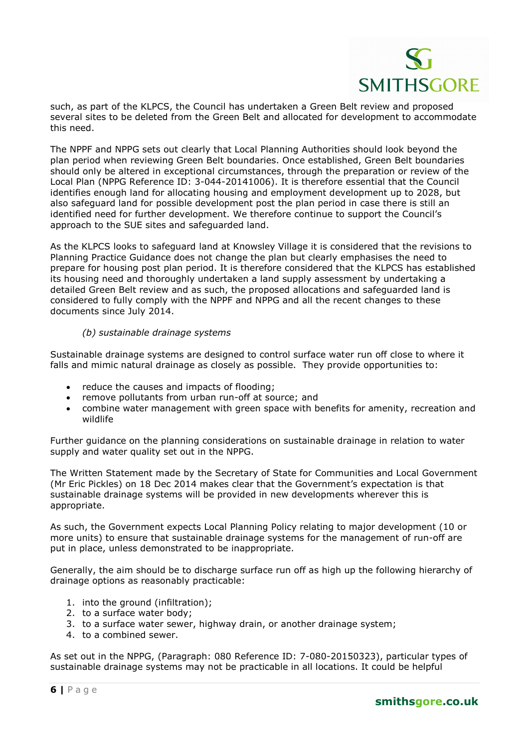such, as part of the KLPCS, the Council has undertaken a Green Belt review and proposed several sites to be deleted from the Green Belt and allocated for development to accommodate this need.

The NPPF and NPPG sets out clearly that Local Planning Authorities should look beyond the plan period when reviewing Green Belt boundaries. Once established, Green Belt boundaries should only be altered in exceptional circumstances, through the preparation or review of the Local Plan (NPPG Reference ID: 3-044-20141006). It is therefore essential that the Council identifies enough land for allocating housing and employment development up to 2028, but also safeguard land for possible development post the plan period in case there is still an identified need for further development. We therefore continue to support the Council's approach to the SUE sites and safeguarded land.

As the KLPCS looks to safeguard land at Knowsley Village it is considered that the revisions to Planning Practice Guidance does not change the plan but clearly emphasises the need to prepare for housing post plan period. It is therefore considered that the KLPCS has established its housing need and thoroughly undertaken a land supply assessment by undertaking a detailed Green Belt review and as such, the proposed allocations and safeguarded land is considered to fully comply with the NPPF and NPPG and all the recent changes to these documents since July 2014.

#### *(b) sustainable drainage systems*

Sustainable drainage systems are designed to control surface water run off close to where it falls and mimic natural drainage as closely as possible. They provide opportunities to:

- reduce the causes and impacts of flooding;
- remove pollutants from urban run-off at source; and
- combine water management with green space with benefits for amenity, recreation and wildlife

Further guidance on the planning considerations on sustainable drainage in relation to water supply and water quality set out in the NPPG.

The Written Statement made by the Secretary of State for Communities and Local Government (Mr Eric Pickles) on 18 Dec 2014 makes clear that the Government's expectation is that sustainable drainage systems will be provided in new developments wherever this is appropriate.

As such, the Government expects Local Planning Policy relating to major development (10 or more units) to ensure that sustainable drainage systems for the management of run-off are put in place, unless demonstrated to be inappropriate.

Generally, the aim should be to discharge surface run off as high up the following hierarchy of drainage options as reasonably practicable:

- 1. into the ground (infiltration);
- 2. to a surface water body;
- 3. to a surface water sewer, highway drain, or another drainage system;
- 4. to a combined sewer.

As set out in the NPPG, (Paragraph: 080 Reference ID: 7-080-20150323), particular types of sustainable drainage systems may not be practicable in all locations. It could be helpful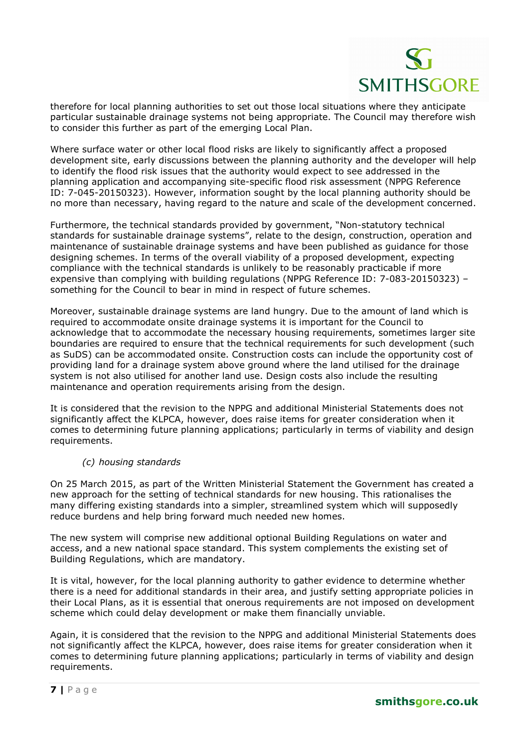therefore for local planning authorities to set out those local situations where they anticipate particular sustainable drainage systems not being appropriate. The Council may therefore wish to consider this further as part of the emerging Local Plan.

Where surface water or other local flood risks are likely to significantly affect a proposed development site, early discussions between the planning authority and the developer will help to identify the flood risk issues that the authority would expect to see addressed in the planning application and accompanying site-specific flood risk assessment (NPPG Reference ID: 7-045-20150323). However, information sought by the local planning authority should be no more than necessary, having regard to the nature and scale of the development concerned.

Furthermore, the technical standards provided by government, "Non-statutory technical standards for sustainable drainage systems", relate to the design, construction, operation and maintenance of sustainable drainage systems and have been published as guidance for those designing schemes. In terms of the overall viability of a proposed development, expecting compliance with the technical standards is unlikely to be reasonably practicable if more expensive than complying with building regulations (NPPG Reference ID: 7-083-20150323) – something for the Council to bear in mind in respect of future schemes.

Moreover, sustainable drainage systems are land hungry. Due to the amount of land which is required to accommodate onsite drainage systems it is important for the Council to acknowledge that to accommodate the necessary housing requirements, sometimes larger site boundaries are required to ensure that the technical requirements for such development (such as SuDS) can be accommodated onsite. Construction costs can include the opportunity cost of providing land for a drainage system above ground where the land utilised for the drainage system is not also utilised for another land use. Design costs also include the resulting maintenance and operation requirements arising from the design.

It is considered that the revision to the NPPG and additional Ministerial Statements does not significantly affect the KLPCA, however, does raise items for greater consideration when it comes to determining future planning applications; particularly in terms of viability and design requirements.

#### *(c) housing standards*

On 25 March 2015, as part of the Written Ministerial Statement the Government has created a new approach for the setting of technical standards for new housing. This rationalises the many differing existing standards into a simpler, streamlined system which will supposedly reduce burdens and help bring forward much needed new homes.

The new system will comprise new additional optional Building Regulations on water and access, and a new national space standard. This system complements the existing set of Building Regulations, which are mandatory.

It is vital, however, for the local planning authority to gather evidence to determine whether there is a need for additional standards in their area, and justify setting appropriate policies in their Local Plans, as it is essential that onerous requirements are not imposed on development scheme which could delay development or make them financially unviable.

Again, it is considered that the revision to the NPPG and additional Ministerial Statements does not significantly affect the KLPCA, however, does raise items for greater consideration when it comes to determining future planning applications; particularly in terms of viability and design requirements.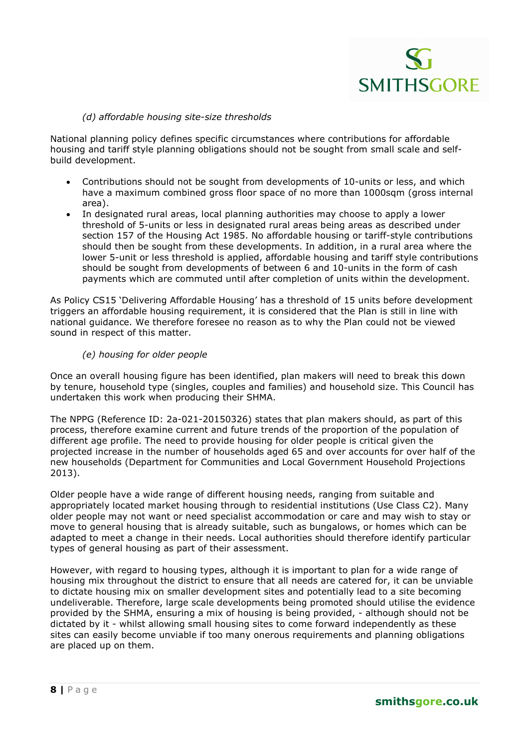#### *(d) affordable housing site-size thresholds*

National planning policy defines specific circumstances where contributions for affordable housing and tariff style planning obligations should not be sought from small scale and selfbuild development.

- Contributions should not be sought from developments of 10-units or less, and which have a maximum combined gross floor space of no more than 1000sqm (gross internal area).
- In designated rural areas, local planning authorities may choose to apply a lower threshold of 5-units or less in designated rural areas being areas as described under section 157 of the Housing Act 1985. No affordable housing or tariff-style contributions should then be sought from these developments. In addition, in a rural area where the lower 5-unit or less threshold is applied, affordable housing and tariff style contributions should be sought from developments of between 6 and 10-units in the form of cash payments which are commuted until after completion of units within the development.

As Policy CS15 'Delivering Affordable Housing' has a threshold of 15 units before development triggers an affordable housing requirement, it is considered that the Plan is still in line with national guidance. We therefore foresee no reason as to why the Plan could not be viewed sound in respect of this matter.

#### *(e) housing for older people*

Once an overall housing figure has been identified, plan makers will need to break this down by tenure, household type (singles, couples and families) and household size. This Council has undertaken this work when producing their SHMA.

The NPPG (Reference ID: 2a-021-20150326) states that plan makers should, as part of this process, therefore examine current and future trends of the proportion of the population of different age profile. The need to provide housing for older people is critical given the projected increase in the number of households aged 65 and over accounts for over half of the new households (Department for Communities and Local Government Household Projections 2013).

Older people have a wide range of different housing needs, ranging from suitable and appropriately located market housing through to residential institutions (Use Class C2). Many older people may not want or need specialist accommodation or care and may wish to stay or move to general housing that is already suitable, such as bungalows, or homes which can be adapted to meet a change in their needs. Local authorities should therefore identify particular types of general housing as part of their assessment.

However, with regard to housing types, although it is important to plan for a wide range of housing mix throughout the district to ensure that all needs are catered for, it can be unviable to dictate housing mix on smaller development sites and potentially lead to a site becoming undeliverable. Therefore, large scale developments being promoted should utilise the evidence provided by the SHMA, ensuring a mix of housing is being provided, - although should not be dictated by it - whilst allowing small housing sites to come forward independently as these sites can easily become unviable if too many onerous requirements and planning obligations are placed up on them.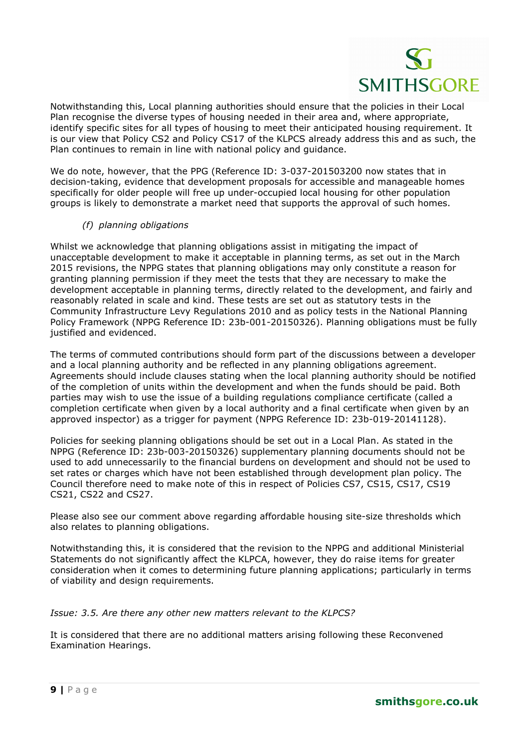Notwithstanding this, Local planning authorities should ensure that the policies in their Local Plan recognise the diverse types of housing needed in their area and, where appropriate, identify specific sites for all types of housing to meet their anticipated housing requirement. It is our view that Policy CS2 and Policy CS17 of the KLPCS already address this and as such, the Plan continues to remain in line with national policy and guidance.

We do note, however, that the PPG (Reference ID: 3-037-201503200 now states that in decision-taking, evidence that development proposals for accessible and manageable homes specifically for older people will free up under-occupied local housing for other population groups is likely to demonstrate a market need that supports the approval of such homes.

#### *(f) planning obligations*

Whilst we acknowledge that planning obligations assist in mitigating the impact of unacceptable development to make it acceptable in planning terms, as set out in the March 2015 revisions, the NPPG states that planning obligations may only constitute a reason for granting planning permission if they meet the tests that they are necessary to make the development acceptable in planning terms, directly related to the development, and fairly and reasonably related in scale and kind. These tests are set out as statutory tests in the Community Infrastructure Levy Regulations 2010 and as policy tests in the National Planning Policy Framework (NPPG Reference ID: 23b-001-20150326). Planning obligations must be fully justified and evidenced.

The terms of commuted contributions should form part of the discussions between a developer and a local planning authority and be reflected in any planning obligations agreement. Agreements should include clauses stating when the local planning authority should be notified of the completion of units within the development and when the funds should be paid. Both parties may wish to use the issue of a building regulations compliance certificate (called a completion certificate when given by a local authority and a final certificate when given by an approved inspector) as a trigger for payment (NPPG Reference ID: 23b-019-20141128).

Policies for seeking planning obligations should be set out in a Local Plan. As stated in the NPPG (Reference ID: 23b-003-20150326) supplementary planning documents should not be used to add unnecessarily to the financial burdens on development and should not be used to set rates or charges which have not been established through development plan policy. The Council therefore need to make note of this in respect of Policies CS7, CS15, CS17, CS19 CS21, CS22 and CS27.

Please also see our comment above regarding affordable housing site-size thresholds which also relates to planning obligations.

Notwithstanding this, it is considered that the revision to the NPPG and additional Ministerial Statements do not significantly affect the KLPCA, however, they do raise items for greater consideration when it comes to determining future planning applications; particularly in terms of viability and design requirements.

#### *Issue: 3.5. Are there any other new matters relevant to the KLPCS?*

It is considered that there are no additional matters arising following these Reconvened Examination Hearings.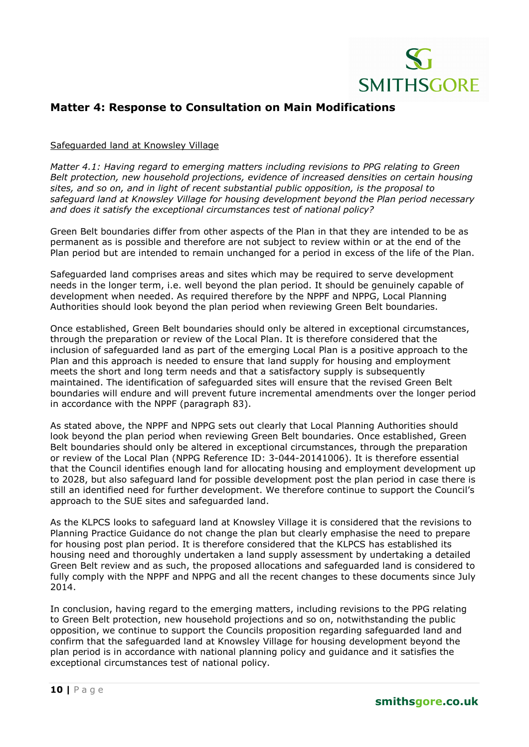

### **Matter 4: Response to Consultation on Main Modifications**

#### Safeguarded land at Knowsley Village

*Matter 4.1: Having regard to emerging matters including revisions to PPG relating to Green Belt protection, new household projections, evidence of increased densities on certain housing sites, and so on, and in light of recent substantial public opposition, is the proposal to safeguard land at Knowsley Village for housing development beyond the Plan period necessary and does it satisfy the exceptional circumstances test of national policy?* 

Green Belt boundaries differ from other aspects of the Plan in that they are intended to be as permanent as is possible and therefore are not subject to review within or at the end of the Plan period but are intended to remain unchanged for a period in excess of the life of the Plan.

Safeguarded land comprises areas and sites which may be required to serve development needs in the longer term, i.e. well beyond the plan period. It should be genuinely capable of development when needed. As required therefore by the NPPF and NPPG, Local Planning Authorities should look beyond the plan period when reviewing Green Belt boundaries.

Once established, Green Belt boundaries should only be altered in exceptional circumstances, through the preparation or review of the Local Plan. It is therefore considered that the inclusion of safeguarded land as part of the emerging Local Plan is a positive approach to the Plan and this approach is needed to ensure that land supply for housing and employment meets the short and long term needs and that a satisfactory supply is subsequently maintained. The identification of safeguarded sites will ensure that the revised Green Belt boundaries will endure and will prevent future incremental amendments over the longer period in accordance with the NPPF (paragraph 83).

As stated above, the NPPF and NPPG sets out clearly that Local Planning Authorities should look beyond the plan period when reviewing Green Belt boundaries. Once established, Green Belt boundaries should only be altered in exceptional circumstances, through the preparation or review of the Local Plan (NPPG Reference ID: 3-044-20141006). It is therefore essential that the Council identifies enough land for allocating housing and employment development up to 2028, but also safeguard land for possible development post the plan period in case there is still an identified need for further development. We therefore continue to support the Council's approach to the SUE sites and safeguarded land.

As the KLPCS looks to safeguard land at Knowsley Village it is considered that the revisions to Planning Practice Guidance do not change the plan but clearly emphasise the need to prepare for housing post plan period. It is therefore considered that the KLPCS has established its housing need and thoroughly undertaken a land supply assessment by undertaking a detailed Green Belt review and as such, the proposed allocations and safeguarded land is considered to fully comply with the NPPF and NPPG and all the recent changes to these documents since July 2014.

In conclusion, having regard to the emerging matters, including revisions to the PPG relating to Green Belt protection, new household projections and so on, notwithstanding the public opposition, we continue to support the Councils proposition regarding safeguarded land and confirm that the safeguarded land at Knowsley Village for housing development beyond the plan period is in accordance with national planning policy and guidance and it satisfies the exceptional circumstances test of national policy.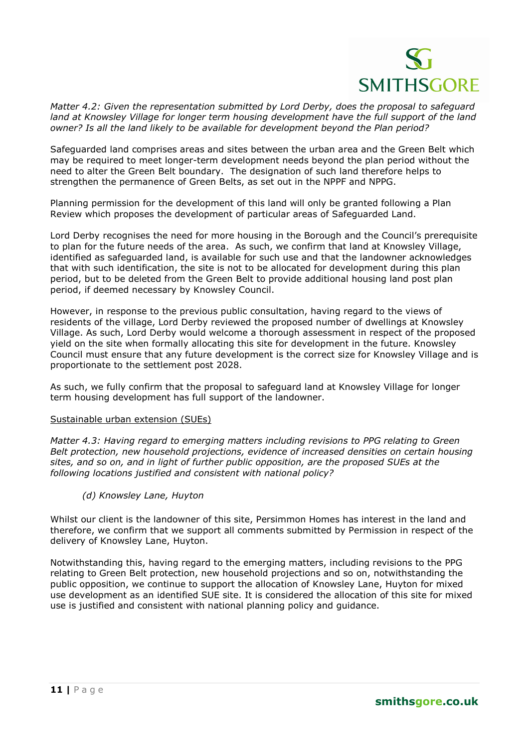

*Matter 4.2: Given the representation submitted by Lord Derby, does the proposal to safeguard land at Knowsley Village for longer term housing development have the full support of the land owner? Is all the land likely to be available for development beyond the Plan period?* 

Safeguarded land comprises areas and sites between the urban area and the Green Belt which may be required to meet longer-term development needs beyond the plan period without the need to alter the Green Belt boundary. The designation of such land therefore helps to strengthen the permanence of Green Belts, as set out in the NPPF and NPPG.

Planning permission for the development of this land will only be granted following a Plan Review which proposes the development of particular areas of Safeguarded Land.

Lord Derby recognises the need for more housing in the Borough and the Council's prerequisite to plan for the future needs of the area. As such, we confirm that land at Knowsley Village, identified as safeguarded land, is available for such use and that the landowner acknowledges that with such identification, the site is not to be allocated for development during this plan period, but to be deleted from the Green Belt to provide additional housing land post plan period, if deemed necessary by Knowsley Council.

However, in response to the previous public consultation, having regard to the views of residents of the village, Lord Derby reviewed the proposed number of dwellings at Knowsley Village. As such, Lord Derby would welcome a thorough assessment in respect of the proposed yield on the site when formally allocating this site for development in the future. Knowsley Council must ensure that any future development is the correct size for Knowsley Village and is proportionate to the settlement post 2028.

As such, we fully confirm that the proposal to safeguard land at Knowsley Village for longer term housing development has full support of the landowner.

#### Sustainable urban extension (SUEs)

*Matter 4.3: Having regard to emerging matters including revisions to PPG relating to Green Belt protection, new household projections, evidence of increased densities on certain housing sites, and so on, and in light of further public opposition, are the proposed SUEs at the following locations justified and consistent with national policy?* 

*(d) Knowsley Lane, Huyton* 

Whilst our client is the landowner of this site, Persimmon Homes has interest in the land and therefore, we confirm that we support all comments submitted by Permission in respect of the delivery of Knowsley Lane, Huyton.

Notwithstanding this, having regard to the emerging matters, including revisions to the PPG relating to Green Belt protection, new household projections and so on, notwithstanding the public opposition, we continue to support the allocation of Knowsley Lane, Huyton for mixed use development as an identified SUE site. It is considered the allocation of this site for mixed use is justified and consistent with national planning policy and guidance.